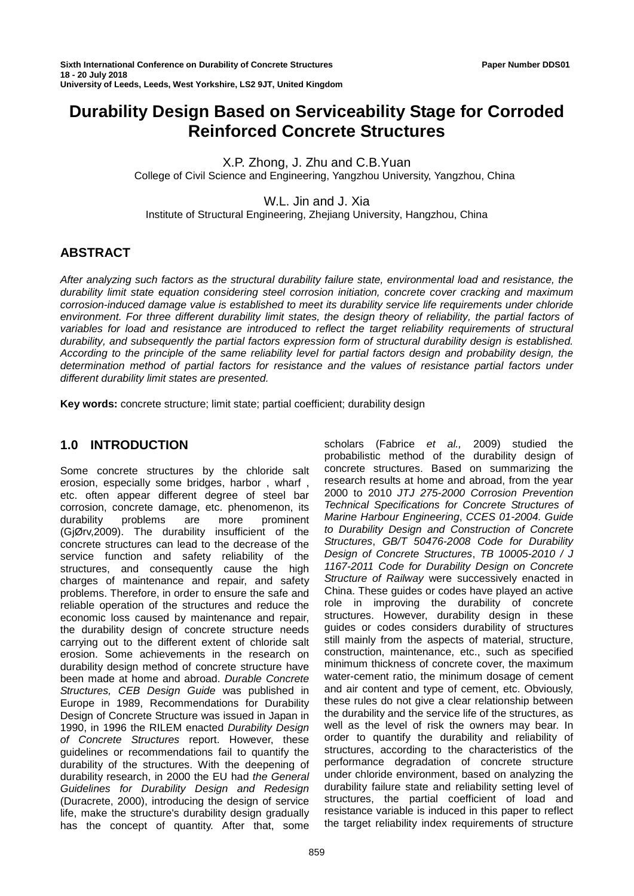# **Durability Design Based on Serviceability Stage for Corroded Reinforced Concrete Structures**

X.P. Zhong, J. Zhu and C.B.Yuan

College of Civil Science and Engineering, Yangzhou University, Yangzhou, China

W.L. Jin and J. Xia

Institute of Structural Engineering, Zhejiang University, Hangzhou, China

# **ABSTRACT**

*After analyzing such factors as the structural durability failure state, environmental load and resistance, the durability limit state equation considering steel corrosion initiation, concrete cover cracking and maximum corrosion-induced damage value is established to meet its durability service life requirements under chloride*  environment. For three different durability limit states, the design theory of reliability, the partial factors of variables for load and resistance are introduced to reflect the target reliability requirements of structural *durability, and subsequently the partial factors expression form of structural durability design is established. According to the principle of the same reliability level for partial factors design and probability design, the determination method of partial factors for resistance and the values of resistance partial factors under different durability limit states are presented.* 

**Key words:** concrete structure; limit state; partial coefficient; durability design

# **1.0 INTRODUCTION**

Some concrete structures by the chloride salt erosion, especially some bridges, harbor , wharf , etc. often appear different degree of steel bar corrosion, concrete damage, etc. phenomenon, its<br>durability problems are more prominent durability problems are more prominent (GjØrv,2009). The durability insufficient of the concrete structures can lead to the decrease of the service function and safety reliability of the structures, and consequently cause the high charges of maintenance and repair, and safety problems. Therefore, in order to ensure the safe and reliable operation of the structures and reduce the economic loss caused by maintenance and repair, the durability design of concrete structure needs carrying out to the different extent of chloride salt erosion. Some achievements in the research on durability design method of concrete structure have been made at home and abroad. *Durable Concrete Structures, CEB Design Guide* was published in Europe in 1989, Recommendations for Durability Design of Concrete Structure was issued in Japan in 1990, in 1996 the RILEM enacted *Durability Design of Concrete Structures* report. However, these guidelines or recommendations fail to quantify the durability of the structures. With the deepening of durability research, in 2000 the EU had *the General Guidelines for Durability Design and Redesign*  (Duracrete, 2000), introducing the design of service life, make the structure's durability design gradually has the concept of quantity. After that, some

scholars (Fabrice *et al.,* 2009) studied the probabilistic method of the durability design of concrete structures. Based on summarizing the research results at home and abroad, from the year 2000 to 2010 *JTJ 275-2000 Corrosion Prevention Technical Specifications for Concrete Structures of Marine Harbour Engineering*, *CCES 01-2004. Guide to Durability Design and Construction of Concrete Structures*, *GB/T 50476-2008 Code for Durability Design of Concrete Structures*, *TB 10005-2010 / J 1167-2011 Code for Durability Design on Concrete Structure of Railway* were successively enacted in China. These guides or codes have played an active role in improving the durability of concrete structures. However, durability design in these guides or codes considers durability of structures still mainly from the aspects of material, structure, construction, maintenance, etc., such as specified minimum thickness of concrete cover, the maximum water-cement ratio, the minimum dosage of cement and air content and type of cement, etc. Obviously, these rules do not give a clear relationship between the durability and the service life of the structures, as well as the level of risk the owners may bear. In order to quantify the durability and reliability of structures, according to the characteristics of the performance degradation of concrete structure under chloride environment, based on analyzing the durability failure state and reliability setting level of structures, the partial coefficient of load and resistance variable is induced in this paper to reflect the target reliability index requirements of structure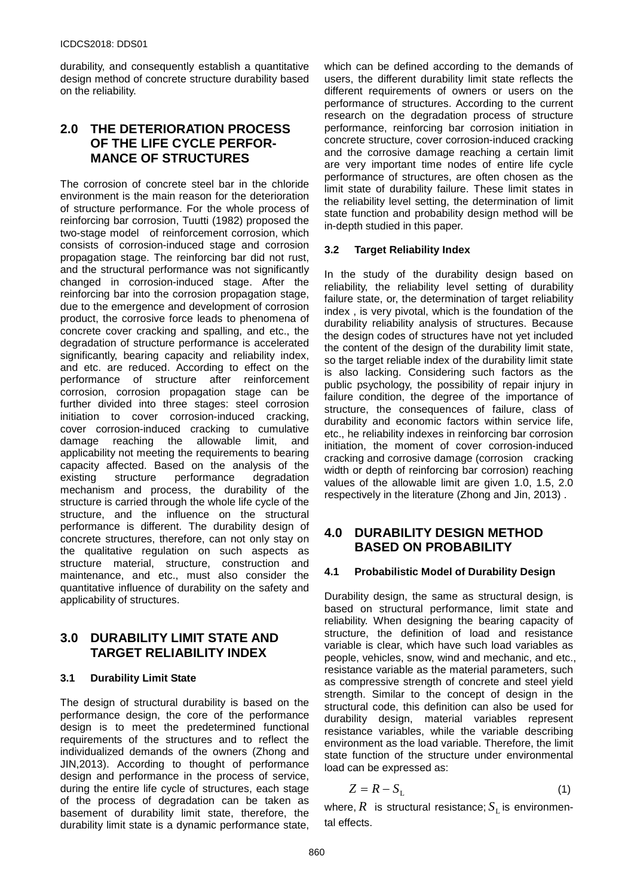durability, and consequently establish a quantitative design method of concrete structure durability based on the reliability.

# **2.0 THE DETERIORATION PROCESS OF THE LIFE CYCLE PERFOR-MANCE OF STRUCTURES**

The corrosion of concrete steel bar in the chloride environment is the main reason for the deterioration of structure performance. For the whole process of reinforcing bar corrosion, Tuutti (1982) proposed the two-stage model of reinforcement corrosion, which consists of corrosion-induced stage and corrosion propagation stage. The reinforcing bar did not rust, and the structural performance was not significantly changed in corrosion-induced stage. After the reinforcing bar into the corrosion propagation stage, due to the emergence and development of corrosion product, the corrosive force leads to phenomena of concrete cover cracking and spalling, and etc., the degradation of structure performance is accelerated significantly, bearing capacity and reliability index, and etc. are reduced. According to effect on the performance of structure after reinforcement corrosion, corrosion propagation stage can be further divided into three stages: steel corrosion initiation to cover corrosion-induced cracking, cover corrosion-induced cracking to cumulative damage reaching the allowable limit, and applicability not meeting the requirements to bearing capacity affected. Based on the analysis of the existing structure performance degradation mechanism and process, the durability of the structure is carried through the whole life cycle of the structure, and the influence on the structural performance is different. The durability design of concrete structures, therefore, can not only stay on the qualitative regulation on such aspects as structure material, structure, construction and maintenance, and etc., must also consider the quantitative influence of durability on the safety and applicability of structures.

# **3.0 DURABILITY LIMIT STATE AND TARGET RELIABILITY INDEX**

### **3.1 Durability Limit State**

The design of structural durability is based on the performance design, the core of the performance design is to meet the predetermined functional requirements of the structures and to reflect the individualized demands of the owners (Zhong and JIN,2013). According to thought of performance design and performance in the process of service, during the entire life cycle of structures, each stage of the process of degradation can be taken as basement of durability limit state, therefore, the durability limit state is a dynamic performance state,

which can be defined according to the demands of users, the different durability limit state reflects the different requirements of owners or users on the performance of structures. According to the current research on the degradation process of structure performance, reinforcing bar corrosion initiation in concrete structure, cover corrosion-induced cracking and the corrosive damage reaching a certain limit are very important time nodes of entire life cycle performance of structures, are often chosen as the limit state of durability failure. These limit states in the reliability level setting, the determination of limit state function and probability design method will be in-depth studied in this paper.

# **3.2 Target Reliability Index**

In the study of the durability design based on reliability, the reliability level setting of durability failure state, or, the determination of target reliability index , is very pivotal, which is the foundation of the durability reliability analysis of structures. Because the design codes of structures have not yet included the content of the design of the durability limit state, so the target reliable index of the durability limit state is also lacking. Considering such factors as the public psychology, the possibility of repair injury in failure condition, the degree of the importance of structure, the consequences of failure, class of durability and economic factors within service life, etc., he reliability indexes in reinforcing bar corrosion initiation, the moment of cover corrosion-induced cracking and corrosive damage (corrosion cracking width or depth of reinforcing bar corrosion) reaching values of the allowable limit are given 1.0, 1.5, 2.0 respectively in the literature (Zhong and Jin, 2013) .

# **4.0 DURABILITY DESIGN METHOD BASED ON PROBABILITY**

### **4.1 Probabilistic Model of Durability Design**

Durability design, the same as structural design, is based on structural performance, limit state and reliability. When designing the bearing capacity of structure, the definition of load and resistance variable is clear, which have such load variables as people, vehicles, snow, wind and mechanic, and etc., resistance variable as the material parameters, such as compressive strength of concrete and steel yield strength. Similar to the concept of design in the structural code, this definition can also be used for durability design, material variables represent resistance variables, while the variable describing environment as the load variable. Therefore, the limit state function of the structure under environmental load can be expressed as:

$$
Z = R - S_{\rm L} \tag{1}
$$

where,  $R$  is structural resistance;  $S<sub>r</sub>$  is environmental effects.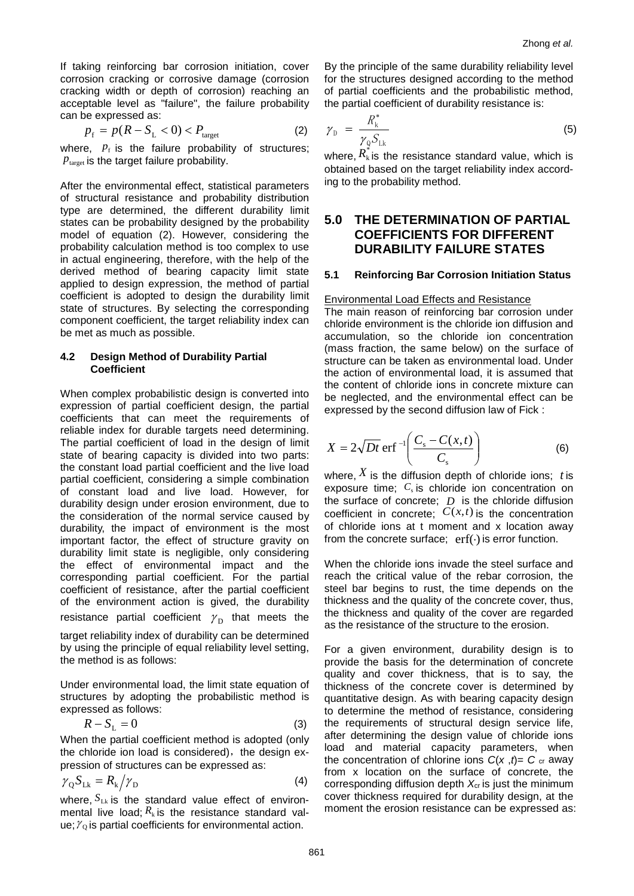If taking reinforcing bar corrosion initiation, cover corrosion cracking or corrosive damage (corrosion cracking width or depth of corrosion) reaching an acceptable level as "failure", the failure probability can be expressed as:

$$
p_{\rm f} = p(R - S_{\rm L} < 0) < P_{\rm target} \tag{2}
$$

where,  $p_f$  is the failure probability of structures;  $P_{\text{target}}$  is the target failure probability.

After the environmental effect, statistical parameters of structural resistance and probability distribution type are determined, the different durability limit states can be probability designed by the probability model of equation (2). However, considering the probability calculation method is too complex to use in actual engineering, therefore, with the help of the derived method of bearing capacity limit state applied to design expression, the method of partial coefficient is adopted to design the durability limit state of structures. By selecting the corresponding component coefficient, the target reliability index can be met as much as possible.

#### **4.2 Design Method of Durability Partial Coefficient**

When complex probabilistic design is converted into expression of partial coefficient design, the partial coefficients that can meet the requirements of reliable index for durable targets need determining. The partial coefficient of load in the design of limit state of bearing capacity is divided into two parts: the constant load partial coefficient and the live load partial coefficient, considering a simple combination of constant load and live load. However, for durability design under erosion environment, due to the consideration of the normal service caused by durability, the impact of environment is the most important factor, the effect of structure gravity on durability limit state is negligible, only considering the effect of environmental impact and the corresponding partial coefficient. For the partial coefficient of resistance, after the partial coefficient of the environment action is gived, the durability resistance partial coefficient  $\gamma_{\rm p}$  that meets the

target reliability index of durability can be determined by using the principle of equal reliability level setting, the method is as follows:

Under environmental load, the limit state equation of structures by adopting the probabilistic method is expressed as follows:

$$
R - S_{\rm L} = 0 \tag{3}
$$

When the partial coefficient method is adopted (only the chloride ion load is considered), the design expression of structures can be expressed as:

$$
\gamma_{\rm Q} S_{\rm Lk} = R_{\rm k} / \gamma_{\rm D} \tag{4}
$$

where,  $S_{LK}$  is the standard value effect of environmental live load;  $R_k$  is the resistance standard value;  $\gamma_0$  is partial coefficients for environmental action.

By the principle of the same durability reliability level for the structures designed according to the method of partial coefficients and the probabilistic method, the partial coefficient of durability resistance is:

$$
\gamma_{\rm D} = \frac{R_{\rm k}^*}{\gamma_{\rm Q} S_{\rm Lk}} \tag{5}
$$

where,  $R_k$  is the resistance standard value, which is obtained based on the target reliability index according to the probability method.

# **5.0 THE DETERMINATION OF PARTIAL COEFFICIENTS FOR DIFFERENT DURABILITY FAILURE STATES**

#### **5.1 Reinforcing Bar Corrosion Initiation Status**

#### Environmental Load Effects and Resistance

The main reason of reinforcing bar corrosion under chloride environment is the chloride ion diffusion and accumulation, so the chloride ion concentration (mass fraction, the same below) on the surface of structure can be taken as environmental load. Under the action of environmental load, it is assumed that the content of chloride ions in concrete mixture can be neglected, and the environmental effect can be expressed by the second diffusion law of Fick :

$$
X = 2\sqrt{Dt} \, \text{erf}^{-1} \left( \frac{C_{\text{s}} - C(x, t)}{C_{\text{s}}} \right) \tag{6}
$$

where,  $X$  is the diffusion depth of chloride ions; *t* is exposure time; C<sub>s</sub> is chloride ion concentration on the surface of concrete; *D* is the chloride diffusion coefficient in concrete;  $C(x,t)$  is the concentration of chloride ions at t moment and x location away from the concrete surface;  $erf(\cdot)$  is error function.

When the chloride ions invade the steel surface and reach the critical value of the rebar corrosion, the steel bar begins to rust, the time depends on the thickness and the quality of the concrete cover, thus, the thickness and quality of the cover are regarded as the resistance of the structure to the erosion.

For a given environment, durability design is to provide the basis for the determination of concrete quality and cover thickness, that is to say, the thickness of the concrete cover is determined by quantitative design. As with bearing capacity design to determine the method of resistance, considering the requirements of structural design service life, after determining the design value of chloride ions load and material capacity parameters, when the concentration of chlorine ions  $C(x, t) = C$  or away from x location on the surface of concrete, the corresponding diffusion depth *X*cr is just the minimum cover thickness required for durability design, at the moment the erosion resistance can be expressed as: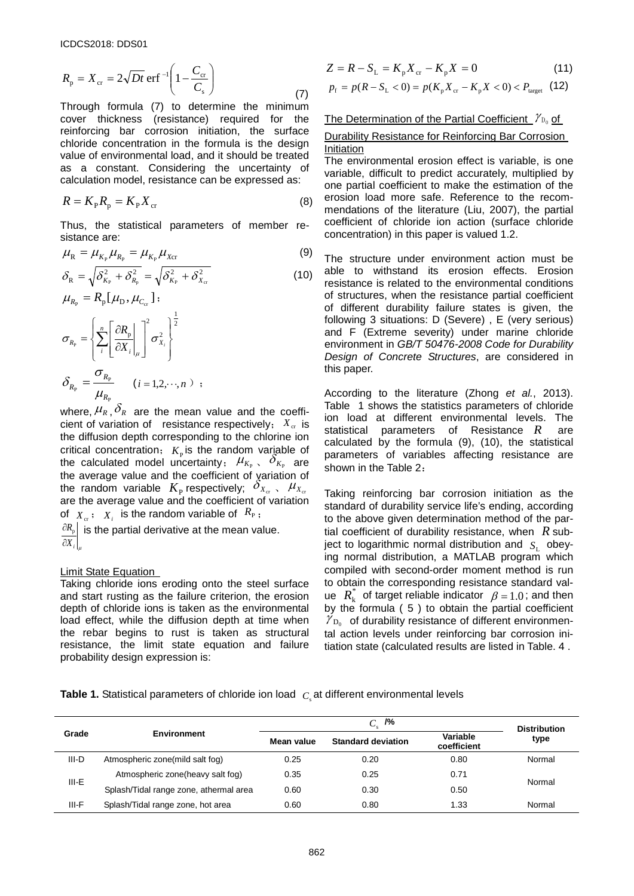$$
R_{\rm p} = X_{\rm cr} = 2\sqrt{Dt} \,\text{erf}^{-1} \left( 1 - \frac{C_{\rm cr}}{C_{\rm s}} \right) \tag{7}
$$

Through formula (7) to determine the minimum cover thickness (resistance) required for the reinforcing bar corrosion initiation, the surface chloride concentration in the formula is the design value of environmental load, and it should be treated as a constant. Considering the uncertainty of calculation model, resistance can be expressed as:

$$
R = K_{\rm p} R_{\rm p} = K_{\rm p} X_{\rm cr} \tag{8}
$$

Thus, the statistical parameters of member resistance are:

$$
\mu_{\rm R} = \mu_{K_{\rm P}} \mu_{R_{\rm P}} = \mu_{K_{\rm P}} \mu_{X_{\rm CT}} \tag{9}
$$

$$
\delta_{\rm R} = \sqrt{\delta_{K_{\rm P}}^2 + \delta_{R_{\rm p}}^2} = \sqrt{\delta_{K_{\rm P}}^2 + \delta_{X_{\rm cr}}^2}
$$
(10)

$$
\mu_{R_{\rm p}} = R_{\rm p}[\mu_{\rm D}, \mu_{C_{\rm cr}}];
$$
\n
$$
\sigma_{R_{\rm p}} = \left\{ \sum_{i}^{n} \left[ \frac{\partial R_{\rm p}}{\partial X_{i}} \bigg|_{\mu} \right]^{2} \sigma_{X_{i}}^{2} \right\}
$$
\n
$$
\delta_{R_{\rm p}} = \frac{\sigma_{R_{\rm p}}}{\mu} \qquad (i = 1, 2, \dots, n) ;
$$

 $\mu_{_{R_{\text{P}}}}$ where,  $\mu_R$ ,  $\delta_R$  are the mean value and the coefficient of variation of resistance respectively;  $X_{cr}$  is the diffusion depth corresponding to the chlorine ion critical concentration;  $K_p$  is the random variable of the calculated model uncertainty;  $\mu_{K_{\rm P}}$ ,  $\partial_{K_{\rm P}}$  are the average value and the coefficient of variation of the random variable  $K_{\rm p}$  respectively;  $\delta_{X_{\rm cr}}$ ,  $\mu_{X_{\rm cr}}$ are the average value and the coefficient of variation of  $X_c$ ;  $X_i$  is the random variable of  $R_p$ ;

 $\partial X_i\big|_\mu$  $\frac{\partial R_{_{\rm P}}}{\partial \theta}$  is the partial derivative at the mean value.

#### Limit State Equation

Taking chloride ions eroding onto the steel surface and start rusting as the failure criterion, the erosion depth of chloride ions is taken as the environmental load effect, while the diffusion depth at time when the rebar begins to rust is taken as structural resistance, the limit state equation and failure probability design expression is:

$$
Z = R - S_{\rm L} = K_{\rm p} X_{\rm cr} - K_{\rm p} X = 0 \tag{11}
$$

$$
p_{\rm f} = p(R - S_{\rm L} < 0) = p(K_{\rm p} X_{\rm cr} - K_{\rm p} X < 0) < P_{\rm target} \tag{12}
$$

#### The Determination of the Partial Coefficient  $\gamma_{D_0}$  of

#### Durability Resistance for Reinforcing Bar Corrosion Initiation

The environmental erosion effect is variable, is one variable, difficult to predict accurately, multiplied by one partial coefficient to make the estimation of the erosion load more safe. Reference to the recommendations of the literature (Liu, 2007), the partial coefficient of chloride ion action (surface chloride concentration) in this paper is valued 1.2.

The structure under environment action must be able to withstand its erosion effects. Erosion resistance is related to the environmental conditions of structures, when the resistance partial coefficient of different durability failure states is given, the following 3 situations: D (Severe) , E (very serious) and F (Extreme severity) under marine chloride environment in *GB/T 50476-2008 Code for Durability Design of Concrete Structures*, are considered in this paper.

According to the literature (Zhong *et al.*, 2013). Table 1 shows the statistics parameters of chloride ion load at different environmental levels. The statistical parameters of Resistance *R* are calculated by the formula (9), (10), the statistical parameters of variables affecting resistance are shown in the Table 2:

Taking reinforcing bar corrosion initiation as the standard of durability service life's ending, according to the above given determination method of the partial coefficient of durability resistance, when *R* subject to logarithmic normal distribution and  $S<sub>L</sub>$  obeying normal distribution, a MATLAB program which compiled with second-order moment method is run to obtain the corresponding resistance standard value  $R_k^*$  of target reliable indicator  $\beta = 1.0$ ; and then by the formula ( 5 ) to obtain the partial coefficient  $\mathcal{V}_{D_0}$  of durability resistance of different environmental action levels under reinforcing bar corrosion initiation state (calculated results are listed in Table. 4 .

**Table 1.** Statistical parameters of chloride ion load  $|_{C_s}$  at different environmental levels

|         | <b>Environment</b>                     | /%<br>$C_{\cdot}$ |                           |                         | <b>Distribution</b> |
|---------|----------------------------------------|-------------------|---------------------------|-------------------------|---------------------|
| Grade   |                                        | Mean value        | <b>Standard deviation</b> | Variable<br>coefficient | type                |
| III-D   | Atmospheric zone(mild salt fog)        | 0.25              | 0.20                      | 0.80                    | Normal              |
| $III-E$ | Atmospheric zone(heavy salt fog)       | 0.35              | 0.25                      | 0.71                    | Normal              |
|         | Splash/Tidal range zone, athermal area | 0.60              | 0.30                      | 0.50                    |                     |
| III-F   | Splash/Tidal range zone, hot area      | 0.60              | 0.80                      | 1.33                    | Normal              |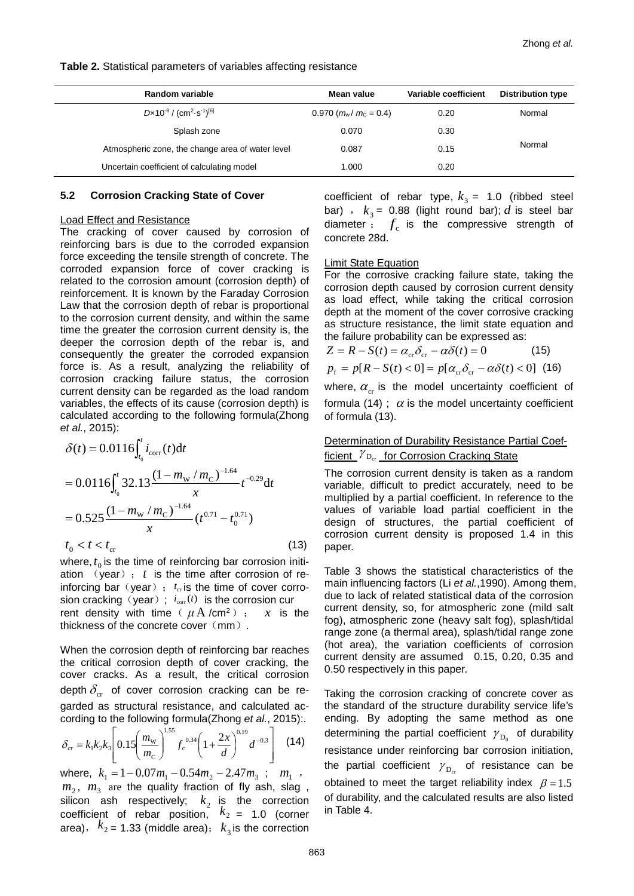#### **Table 2.** Statistical parameters of variables affecting resistance

| Random variable                                                          | Mean value                  | Variable coefficient | <b>Distribution type</b> |
|--------------------------------------------------------------------------|-----------------------------|----------------------|--------------------------|
| $D \times 10^{-8}$ / (cm <sup>2</sup> · s <sup>-1</sup> ) <sup>[6]</sup> | $0.970$ ( $m_w/m_c = 0.4$ ) | 0.20                 | Normal                   |
| Splash zone                                                              | 0.070                       | 0.30                 |                          |
| Atmospheric zone, the change area of water level                         | 0.087                       | 0.15                 | Normal                   |
| Uncertain coefficient of calculating model                               | 1.000                       | 0.20                 |                          |

### **5.2 Corrosion Cracking State of Cover**

#### Load Effect and Resistance

The cracking of cover caused by corrosion of reinforcing bars is due to the corroded expansion force exceeding the tensile strength of concrete. The corroded expansion force of cover cracking is related to the corrosion amount (corrosion depth) of reinforcement. It is known by the Faraday Corrosion Law that the corrosion depth of rebar is proportional to the corrosion current density, and within the same time the greater the corrosion current density is, the deeper the corrosion depth of the rebar is, and consequently the greater the corroded expansion force is. As a result, analyzing the reliability of corrosion cracking failure status, the corrosion current density can be regarded as the load random variables, the effects of its cause (corrosion depth) is calculated according to the following formula(Zhong *et al.*, 2015):

$$
\delta(t) = 0.0116 \int_{t_0}^{t} i_{\text{corr}}(t) dt
$$
  
= 0.0116  $\int_{t_0}^{t} 32.13 \frac{(1 - m_{\text{w}} / m_{\text{C}})^{-1.64}}{x} t^{-0.29} dt$   
= 0.525  $\frac{(1 - m_{\text{w}} / m_{\text{C}})^{-1.64}}{x} (t^{0.71} - t_0^{0.71})$   
 $t_0 < t < t_{\text{cr}}$  (13)

where,  $t_0$  is the time of reinforcing bar corrosion initiation (year); *t* is the time after corrosion of reinforcing bar (year)  $; t_{cr}$  is the time of cover corrosion cracking (year);  $i_{\text{corr}}(t)$  is the corrosion cur rent density with time ( $\mu$ A /cm<sup>2</sup>); *x* is the thickness of the concrete cover  $(mm)$ .

When the corrosion depth of reinforcing bar reaches the critical corrosion depth of cover cracking, the cover cracks. As a result, the critical corrosion depth  $\delta_{cr}$  of cover corrosion cracking can be regarded as structural resistance, and calculated according to the following formula(Zhong *et al.*, 2015):.

$$
\delta_{\rm cr} = k_1 k_2 k_3 \left[ 0.15 \left( \frac{m_{\rm w}}{m_{\rm C}} \right)^{1.55} f_{\rm c}^{0.34} \left( 1 + \frac{2x}{d} \right)^{0.19} d^{-0.3} \right] \tag{14}
$$

where,  $k_1 = 1 - 0.07m_1 - 0.54m_2 - 2.47m_3$ ;  $m_1$ ,  $m_2$ ,  $m_3$  are the quality fraction of fly ash, slag, silicon ash respectively;  $k<sub>2</sub>$  is the correction coefficient of rebar position,  $k_2 = 1.0$  (corner area),  $k_2$  = 1.33 (middle area);  $k_3$  is the correction

coefficient of rebar type,  $k_3 = 1.0$  (ribbed steel bar) ,  $k_3 = 0.88$  (light round bar); *d* is steel bar diameter  $f_c$  is the compressive strength of concrete 28d.

#### Limit State Equation

For the corrosive cracking failure state, taking the corrosion depth caused by corrosion current density as load effect, while taking the critical corrosion depth at the moment of the cover corrosive cracking as structure resistance, the limit state equation and the failure probability can be expressed as:

$$
Z = R - S(t) = \alpha_{cr} \delta_{cr} - \alpha \delta(t) = 0
$$
 (15)  

$$
p_f = p[R - S(t) < 0] = p[\alpha_{cr} \delta_{cr} - \alpha \delta(t) < 0]
$$
 (16)

where,  $\alpha_{cr}$  is the model uncertainty coefficient of formula (14) ;  $\alpha$  is the model uncertainty coefficient of formula (13).

### Determination of Durability Resistance Partial Coefficient  $\gamma_{D_{cr}}$  for Corrosion Cracking State

The corrosion current density is taken as a random variable, difficult to predict accurately, need to be multiplied by a partial coefficient. In reference to the values of variable load partial coefficient in the design of structures, the partial coefficient of corrosion current density is proposed 1.4 in this paper.

Table 3 shows the statistical characteristics of the main influencing factors (Li *et al.*,1990). Among them, due to lack of related statistical data of the corrosion current density, so, for atmospheric zone (mild salt fog), atmospheric zone (heavy salt fog), splash/tidal range zone (a thermal area), splash/tidal range zone (hot area), the variation coefficients of corrosion current density are assumed 0.15, 0.20, 0.35 and 0.50 respectively in this paper.

Taking the corrosion cracking of concrete cover as the standard of the structure durability service life's ending. By adopting the same method as one determining the partial coefficient  $\gamma_{D_0}$  of durability resistance under reinforcing bar corrosion initiation, the partial coefficient  $\gamma_{D_{\alpha}}$  of resistance can be obtained to meet the target reliability index  $\beta = 1.5$ of durability, and the calculated results are also listed in Table 4.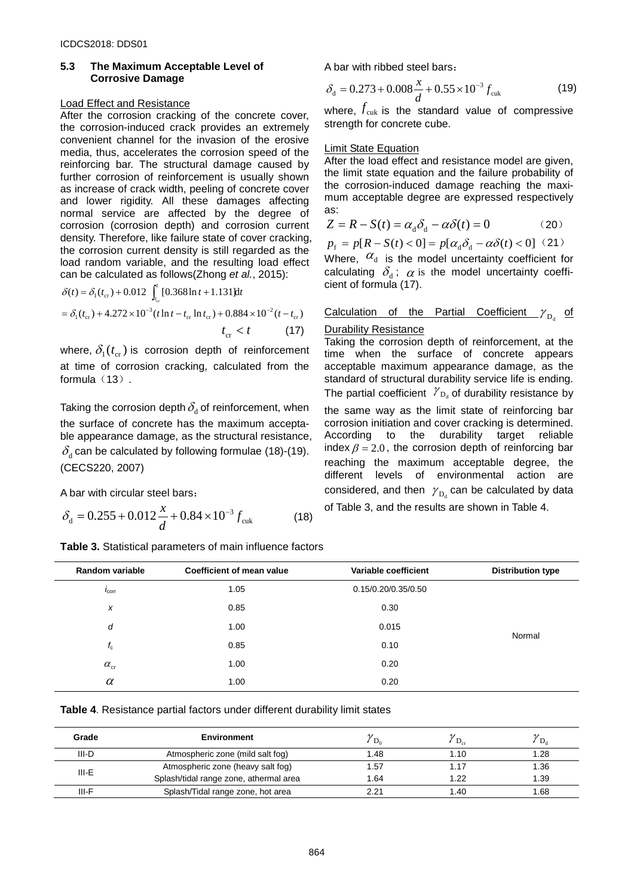#### **5.3 The Maximum Acceptable Level of Corrosive Damage**

#### Load Effect and Resistance

After the corrosion cracking of the concrete cover, the corrosion-induced crack provides an extremely convenient channel for the invasion of the erosive media, thus, accelerates the corrosion speed of the reinforcing bar. The structural damage caused by further corrosion of reinforcement is usually shown as increase of crack width, peeling of concrete cover and lower rigidity. All these damages affecting normal service are affected by the degree of corrosion (corrosion depth) and corrosion current density. Therefore, like failure state of cover cracking, the corrosion current density is still regarded as the load random variable, and the resulting load effect can be calculated as follows(Zhong *et al.*, 2015):

$$
\delta(t) = \delta_1(t_{cr}) + 0.012 \int_{t_{cr}}^{t} [0.368 \ln t + 1.131] \text{d}t
$$
  
=  $\delta_1(t_{cr}) + 4.272 \times 10^{-3} (t \ln t - t_{cr} \ln t_{cr}) + 0.884 \times 10^{-2} (t - t_{cr})$   
 $t_{cr} < t$  (17)

where,  $\delta_1(t_{cr})$  is corrosion depth of reinforcement at time of corrosion cracking, calculated from the formula (13).

Taking the corrosion depth  $\delta_d$  of reinforcement, when the surface of concrete has the maximum acceptable appearance damage, as the structural resistance,  $\delta_d$  can be calculated by following formulae (18)-(19). (CECS220, 2007)

A bar with circular steel bars:

$$
\delta_{\rm d} = 0.255 + 0.012 \frac{x}{d} + 0.84 \times 10^{-3} f_{\rm cut} \tag{18}
$$

| Table 3. Statistical parameters of main influence factors |  |
|-----------------------------------------------------------|--|
|-----------------------------------------------------------|--|

A bar with ribbed steel bars:

$$
\delta_{\rm d} = 0.273 + 0.008 \frac{x}{d} + 0.55 \times 10^{-3} f_{\rm cut}
$$
 (19)

where,  $f_{\text{cuk}}$  is the standard value of compressive strength for concrete cube.

#### Limit State Equation

After the load effect and resistance model are given, the limit state equation and the failure probability of the corrosion-induced damage reaching the maximum acceptable degree are expressed respectively as:

$$
Z = R - S(t) = \alpha_d \delta_d - \alpha \delta(t) = 0 \tag{20}
$$

$$
p_{\rm f} = p[R - S(t) < 0] = p[\alpha_{\rm d}\delta_{\rm d} - \alpha\delta(t) < 0] \quad (21)
$$

Where,  $\alpha_d$  is the model uncertainty coefficient for calculating  $\delta_d$ ;  $\alpha$  is the model uncertainty coefficient of formula (17).

#### Calculation of the Partial Coefficient  $\gamma_{\rm D}$  of

#### **Durability Resistance**

Taking the corrosion depth of reinforcement, at the time when the surface of concrete appears acceptable maximum appearance damage, as the standard of structural durability service life is ending. The partial coefficient  $\gamma_{\text{D}_d}$  of durability resistance by the same way as the limit state of reinforcing bar corrosion initiation and cover cracking is determined.<br>According to the durability target reliable durability target reliable index  $\beta = 2.0$ , the corrosion depth of reinforcing bar reaching the maximum acceptable degree, the different levels of environmental action are considered, and then  $\gamma_{\rm Da}$  can be calculated by data of Table 3, and the results are shown in Table 4.

| Random variable   | Coefficient of mean value | Variable coefficient | <b>Distribution type</b> |
|-------------------|---------------------------|----------------------|--------------------------|
| $I_{\rm corr}$    | 1.05                      | 0.15/0.20/0.35/0.50  |                          |
| $\boldsymbol{x}$  | 0.85                      | 0.30                 |                          |
| d                 | 1.00                      | 0.015                |                          |
| $f_{\rm c}$       | 0.85                      | 0.10                 | Normal                   |
| $\alpha_{\rm cr}$ | 1.00                      | 0.20                 |                          |
| $\alpha$          | 1.00                      | 0.20                 |                          |

**Table 4**. Resistance partial factors under different durability limit states

| Grade | <b>Environment</b>                     | $D_0$ |      | D <sub>a</sub> |
|-------|----------------------------------------|-------|------|----------------|
| III-D | Atmospheric zone (mild salt fog)       | .48   | 10،، | 1.28           |
| III-E | Atmospheric zone (heavy salt fog)      | .57   |      | 1.36           |
|       | Splash/tidal range zone, athermal area | 1.64  | 1.22 | 1.39           |
| III-F | Splash/Tidal range zone, hot area      | 221   | .40  | 1.68           |